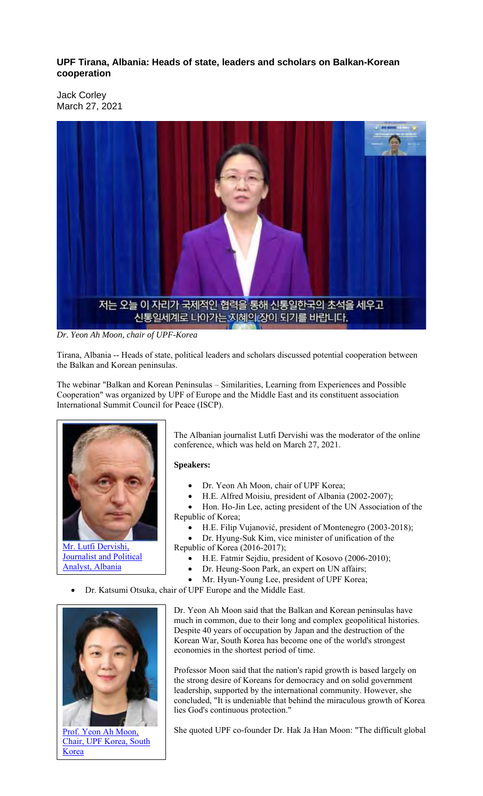## **UPF Tirana, Albania: Heads of state, leaders and scholars on Balkan-Korean cooperation**

Jack Corley March 27, 2021



*Dr. Yeon Ah Moon, chair of UPF-Korea*

Tirana, Albania -- Heads of state, political leaders and scholars discussed potential cooperation between the Balkan and Korean peninsulas.

The webinar "Balkan and Korean Peninsulas – Similarities, Learning from Experiences and Possible Cooperation" was organized by UPF of Europe and the Middle East and its constituent association International Summit Council for Peace (ISCP).



Mr. Lutfi Dervishi, **Journalist and Political** Analyst, Albania

The Albanian journalist Lutfi Dervishi was the moderator of the online conference, which was held on March 27, 2021.

## **Speakers:**

- Dr. Yeon Ah Moon, chair of UPF Korea;
- H.E. Alfred Moisiu, president of Albania (2002-2007);

• Hon. Ho-Jin Lee, acting president of the UN Association of the Republic of Korea;

- H.E. Filip Vujanović, president of Montenegro (2003-2018);
- Dr. Hyung-Suk Kim, vice minister of unification of the Republic of Korea (2016-2017);
	- H.E. Fatmir Sejdiu, president of Kosovo (2006-2010);
	- Dr. Heung-Soon Park, an expert on UN affairs;
	- Mr. Hyun-Young Lee, president of UPF Korea;
- Dr. Katsumi Otsuka, chair of UPF Europe and the Middle East.



Prof. Yeon Ah Moon, Chair, UPF Korea, South **Korea** 

Dr. Yeon Ah Moon said that the Balkan and Korean peninsulas have much in common, due to their long and complex geopolitical histories. Despite 40 years of occupation by Japan and the destruction of the Korean War, South Korea has become one of the world's strongest economies in the shortest period of time.

Professor Moon said that the nation's rapid growth is based largely on the strong desire of Koreans for democracy and on solid government leadership, supported by the international community. However, she concluded, "It is undeniable that behind the miraculous growth of Korea lies God's continuous protection."

She quoted UPF co-founder Dr. Hak Ja Han Moon: "The difficult global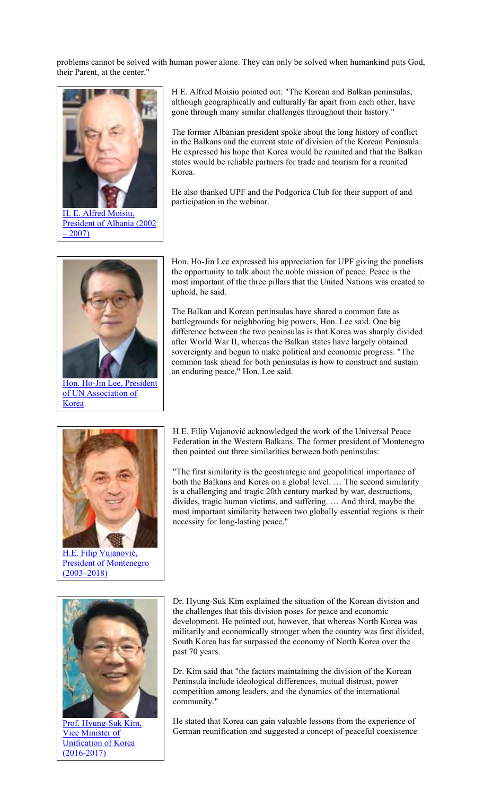problems cannot be solved with human power alone. They can only be solved when humankind puts God, their Parent, at the center."



H. E. Alfred Moisiu, President of Albania (2002  $-2007$ 



Hon. Ho-Jin Lee, President of UN Association of Korea

H.E. Alfred Moisiu pointed out: "The Korean and Balkan peninsulas, although geographically and culturally far apart from each other, have gone through many similar challenges throughout their history."

The former Albanian president spoke about the long history of conflict in the Balkans and the current state of division of the Korean Peninsula. He expressed his hope that Korea would be reunited and that the Balkan states would be reliable partners for trade and tourism for a reunited Korea.

He also thanked UPF and the Podgorica Club for their support of and participation in the webinar.

Hon. Ho-Jin Lee expressed his appreciation for UPF giving the panelists the opportunity to talk about the noble mission of peace. Peace is the most important of the three pillars that the United Nations was created to uphold, he said.

The Balkan and Korean peninsulas have shared a common fate as battlegrounds for neighboring big powers, Hon. Lee said. One big difference between the two peninsulas is that Korea was sharply divided after World War II, whereas the Balkan states have largely obtained sovereignty and begun to make political and economic progress. "The common task ahead for both peninsulas is how to construct and sustain an enduring peace," Hon. Lee said.



H.E. Filip Vujanović, President of Montenegro (2003–2018)



Prof. Hyung-Suk Kim, Vice Minister of Unification of Korea (2016-2017)

H.E. Filip Vujanović acknowledged the work of the Universal Peace Federation in the Western Balkans. The former president of Montenegro then pointed out three similarities between both peninsulas:

"The first similarity is the geostrategic and geopolitical importance of both the Balkans and Korea on a global level. … The second similarity is a challenging and tragic 20th century marked by war, destructions, divides, tragic human victims, and suffering. … And third, maybe the most important similarity between two globally essential regions is their necessity for long-lasting peace."

Dr. Hyung-Suk Kim explained the situation of the Korean division and the challenges that this division poses for peace and economic development. He pointed out, however, that whereas North Korea was militarily and economically stronger when the country was first divided, South Korea has far surpassed the economy of North Korea over the past 70 years.

Dr. Kim said that "the factors maintaining the division of the Korean Peninsula include ideological differences, mutual distrust, power competition among leaders, and the dynamics of the international community."

He stated that Korea can gain valuable lessons from the experience of German reunification and suggested a concept of peaceful coexistence